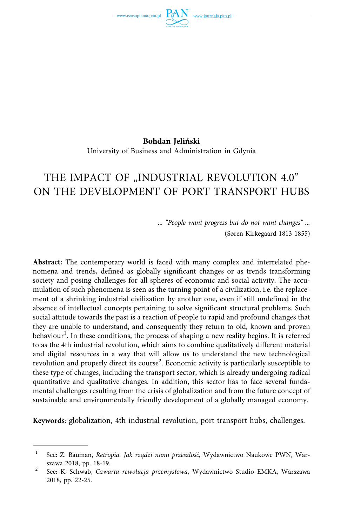

**Bohdan Jeliński**  University of Business and Administration in Gdynia

# THE IMPACT OF "INDUSTRIAL REVOLUTION 4.0" ON THE DEVELOPMENT OF PORT TRANSPORT HUBS

*... "People want progress but do not want changes" ...*  (Søren Kirkegaard 1813-1855)

**Abstract:** The contemporary world is faced with many complex and interrelated phenomena and trends, defined as globally significant changes or as trends transforming society and posing challenges for all spheres of economic and social activity. The accumulation of such phenomena is seen as the turning point of a civilization, i.e. the replacement of a shrinking industrial civilization by another one, even if still undefined in the absence of intellectual concepts pertaining to solve significant structural problems. Such social attitude towards the past is a reaction of people to rapid and profound changes that they are unable to understand, and consequently they return to old, known and proven behaviour<sup>1</sup>. In these conditions, the process of shaping a new reality begins. It is referred to as the 4th industrial revolution, which aims to combine qualitatively different material and digital resources in a way that will allow us to understand the new technological revolution and properly direct its course<sup>2</sup>. Economic activity is particularly susceptible to these type of changes, including the transport sector, which is already undergoing radical quantitative and qualitative changes. In addition, this sector has to face several fundamental challenges resulting from the crisis of globalization and from the future concept of sustainable and environmentally friendly development of a globally managed economy.

**Keywords**: globalization, 4th industrial revolution, port transport hubs, challenges.

<sup>1</sup> See: Z. Bauman, *Retropia. Jak rządzi nami przeszłość,* Wydawnictwo Naukowe PWN, Warszawa 2018, pp. 18-19. 2 See: K. Schwab, *Czwarta rewolucja przemysłowa*, Wydawnictwo Studio EMKA, Warszawa

<sup>2018,</sup> pp. 22-25.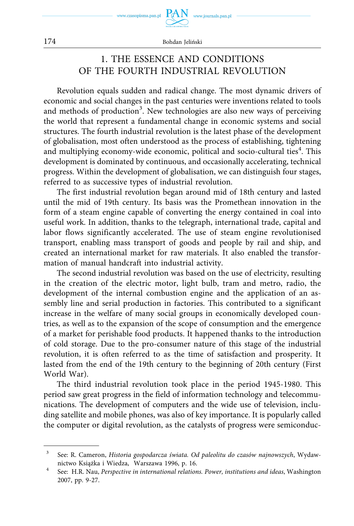

## 1. THE ESSENCE AND CONDITIONS OF THE FOURTH INDUSTRIAL REVOLUTION

Revolution equals sudden and radical change. The most dynamic drivers of economic and social changes in the past centuries were inventions related to tools and methods of production<sup>3</sup>. New technologies are also new ways of perceiving the world that represent a fundamental change in economic systems and social structures. The fourth industrial revolution is the latest phase of the development of globalisation, most often understood as the process of establishing, tightening and multiplying economy-wide economic, political and socio-cultural ties<sup>4</sup>. This development is dominated by continuous, and occasionally accelerating, technical progress. Within the development of globalisation, we can distinguish four stages, referred to as successive types of industrial revolution.

The first industrial revolution began around mid of 18th century and lasted until the mid of 19th century. Its basis was the Promethean innovation in the form of a steam engine capable of converting the energy contained in coal into useful work. In addition, thanks to the telegraph, international trade, capital and labor flows significantly accelerated. The use of steam engine revolutionised transport, enabling mass transport of goods and people by rail and ship, and created an international market for raw materials. It also enabled the transformation of manual handcraft into industrial activity.

The second industrial revolution was based on the use of electricity, resulting in the creation of the electric motor, light bulb, tram and metro, radio, the development of the internal combustion engine and the application of an assembly line and serial production in factories. This contributed to a significant increase in the welfare of many social groups in economically developed countries, as well as to the expansion of the scope of consumption and the emergence of a market for perishable food products. It happened thanks to the introduction of cold storage. Due to the pro-consumer nature of this stage of the industrial revolution, it is often referred to as the time of satisfaction and prosperity. It lasted from the end of the 19th century to the beginning of 20th century (First World War).

The third industrial revolution took place in the period 1945-1980. This period saw great progress in the field of information technology and telecommunications. The development of computers and the wide use of television, including satellite and mobile phones, was also of key importance. It is popularly called the computer or digital revolution, as the catalysts of progress were semiconduc-

<sup>3</sup> See: R. Cameron, *Historia gospodarcza świata. Od paleolitu do czasów najnowszych*, Wydaw-

nictwo Książka i Wiedza, Warszawa 1996, p. 16.<br>See: H.R. Nau, *Perspective in international relations. Power, institutions and ideas*, Washington 2007, pp. 9-27.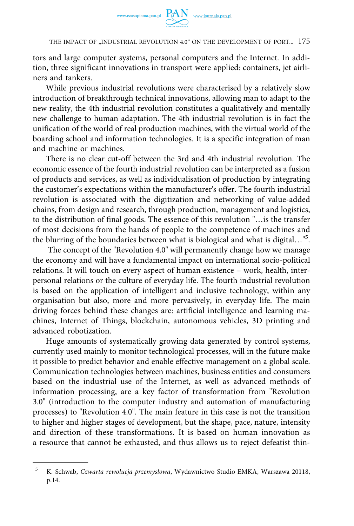

tors and large computer systems, personal computers and the Internet. In addition, three significant innovations in transport were applied: containers, jet airliners and tankers.

While previous industrial revolutions were characterised by a relatively slow introduction of breakthrough technical innovations, allowing man to adapt to the new reality, the 4th industrial revolution constitutes a qualitatively and mentally new challenge to human adaptation. The 4th industrial revolution is in fact the unification of the world of real production machines, with the virtual world of the boarding school and information technologies. It is a specific integration of man and machine or machines.

There is no clear cut-off between the 3rd and 4th industrial revolution. The economic essence of the fourth industrial revolution can be interpreted as a fusion of products and services, as well as individualisation of production by integrating the customer's expectations within the manufacturer's offer. The fourth industrial revolution is associated with the digitization and networking of value-added chains, from design and research, through production, management and logistics, to the distribution of final goods. The essence of this revolution "…is the transfer of most decisions from the hands of people to the competence of machines and the blurring of the boundaries between what is biological and what is digital…"5 .

The concept of the "Revolution 4.0" will permanently change how we manage the economy and will have a fundamental impact on international socio-political relations. It will touch on every aspect of human existence – work, health, interpersonal relations or the culture of everyday life. The fourth industrial revolution is based on the application of intelligent and inclusive technology, within any organisation but also, more and more pervasively, in everyday life. The main driving forces behind these changes are: artificial intelligence and learning machines, Internet of Things, blockchain, autonomous vehicles, 3D printing and advanced robotization.

Huge amounts of systematically growing data generated by control systems, currently used mainly to monitor technological processes, will in the future make it possible to predict behavior and enable effective management on a global scale. Communication technologies between machines, business entities and consumers based on the industrial use of the Internet, as well as advanced methods of information processing, are a key factor of transformation from "Revolution 3.0" (introduction to the computer industry and automation of manufacturing processes) to "Revolution 4.0". The main feature in this case is not the transition to higher and higher stages of development, but the shape, pace, nature, intensity and direction of these transformations. It is based on human innovation as a resource that cannot be exhausted, and thus allows us to reject defeatist thin-

<sup>5</sup> K. Schwab, *Czwarta rewolucja przemysłowa*, Wydawnictwo Studio EMKA, Warszawa 20118, p.14.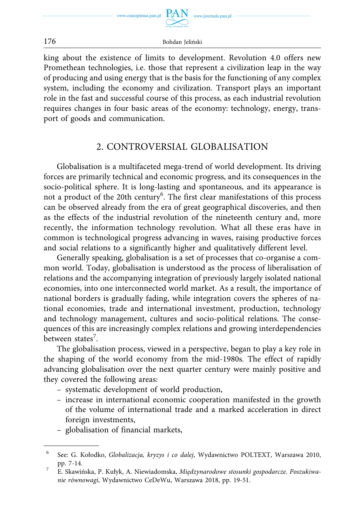

 $PAN$  www.journals.pan.pl

176 Bohdan Jeliński

king about the existence of limits to development. Revolution 4.0 offers new Promethean technologies, i.e. those that represent a civilization leap in the way of producing and using energy that is the basis for the functioning of any complex system, including the economy and civilization. Transport plays an important role in the fast and successful course of this process, as each industrial revolution requires changes in four basic areas of the economy: technology, energy, transport of goods and communication.

### 2. CONTROVERSIAL GLOBALISATION

Globalisation is a multifaceted mega-trend of world development. Its driving forces are primarily technical and economic progress, and its consequences in the socio-political sphere. It is long-lasting and spontaneous, and its appearance is not a product of the 20th century<sup>6</sup>. The first clear manifestations of this process can be observed already from the era of great geographical discoveries, and then as the effects of the industrial revolution of the nineteenth century and, more recently, the information technology revolution. What all these eras have in common is technological progress advancing in waves, raising productive forces and social relations to a significantly higher and qualitatively different level.

Generally speaking, globalisation is a set of processes that co-organise a common world. Today, globalisation is understood as the process of liberalisation of relations and the accompanying integration of previously largely isolated national economies, into one interconnected world market. As a result, the importance of national borders is gradually fading, while integration covers the spheres of national economies, trade and international investment, production, technology and technology management, cultures and socio-political relations. The consequences of this are increasingly complex relations and growing interdependencies between states<sup>7</sup>.

The globalisation process, viewed in a perspective, began to play a key role in the shaping of the world economy from the mid-1980s. The effect of rapidly advancing globalisation over the next quarter century were mainly positive and they covered the following areas:

- systematic development of world production,
- increase in international economic cooperation manifested in the growth of the volume of international trade and a marked acceleration in direct foreign investments,
- globalisation of financial markets,

<sup>6</sup> See: G. Kołodko, *Globalizacja, kryzys i co dalej*, Wydawnictwo POLTEXT, Warszawa 2010, pp. 7-14. 7 E. Skawińska, P. Kułyk, A. Niewiadomska, *Międzynarodowe stosunki gospodarcze. Poszukiwa-*

*nie równowagi*, Wydawnictwo CeDeWu, Warszawa 2018, pp. 19-51.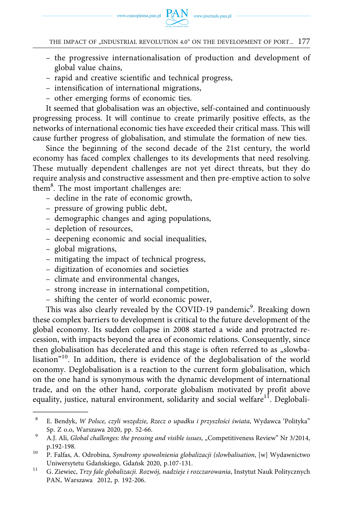

- the progressive internationalisation of production and development of global value chains,
- rapid and creative scientific and technical progress,
- intensification of international migrations,
- other emerging forms of economic ties.

It seemed that globalisation was an objective, self-contained and continuously progressing process. It will continue to create primarily positive effects, as the networks of international economic ties have exceeded their critical mass. This will cause further progress of globalisation, and stimulate the formation of new ties.

Since the beginning of the second decade of the 21st century, the world economy has faced complex challenges to its developments that need resolving. These mutually dependent challenges are not yet direct threats, but they do require analysis and constructive assessment and then pre-emptive action to solve them<sup>8</sup>. The most important challenges are:

- decline in the rate of economic growth,
- pressure of growing public debt,
- demographic changes and aging populations,
- depletion of resources,
- deepening economic and social inequalities,
- global migrations,
- mitigating the impact of technical progress,
- digitization of economies and societies
- climate and environmental changes,
- strong increase in international competition,
- shifting the center of world economic power,

This was also clearly revealed by the COVID-19 pandemic<sup>9</sup>. Breaking down these complex barriers to development is critical to the future development of the global economy. Its sudden collapse in 2008 started a wide and protracted recession, with impacts beyond the area of economic relations. Consequently, since then globalisation has decelerated and this stage is often referred to as "slowbalisation"10. In addition, there is evidence of the deglobalisation of the world economy. Deglobalisation is a reaction to the current form globalisation, which on the one hand is synonymous with the dynamic development of international trade, and on the other hand, corporate globalism motivated by profit above equality, justice, natural environment, solidarity and social welfare<sup>11</sup>. Deglobali-

<sup>8</sup> E. Bendyk, *W Polsce, czyli wszędzie, Rzecz o upadku i przyszłości świata*, Wydawca 'Polityka" Sp. Z o.o, Warszawa 2020, pp. 52-66. 9 A.J. Ali, *Global challenges: the pressing and visible issues*, "Competitiveness Review" Nr 3/2014,

p.192-198. 10 P. Falfas, A. Odrobina, *Syndromy spowolnienia globalizacji (slowbalisation*, [w] Wydawnictwo

Uniwersytetu Gdańskiego, Gdańsk 2020, p.107-131. 11 G. Ziewiec, *Trzy fale globalizacji. Rozwój, nadzieje i rozczarowania*, Instytut Nauk Politycznych PAN, Warszawa 2012, p. 192-206.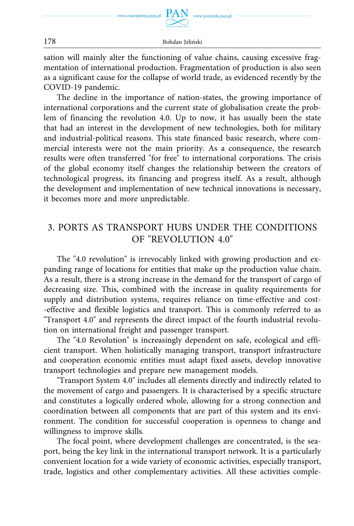

sation will mainly alter the functioning of value chains, causing excessive fragmentation of international production. Fragmentation of production is also seen as a significant cause for the collapse of world trade, as evidenced recently by the COVID-19 pandemic.

The decline in the importance of nation-states, the growing importance of international corporations and the current state of globalisation create the problem of financing the revolution 4.0. Up to now, it has usually been the state that had an interest in the development of new technologies, both for military and industrial-political reasons. This state financed basic research, where commercial interests were not the main priority. As a consequence, the research results were often transferred "for free" to international corporations. The crisis of the global economy itself changes the relationship between the creators of technological progress, its financing and progress itself. As a result, although the development and implementation of new technical innovations is necessary, it becomes more and more unpredictable.

# 3. PORTS AS TRANSPORT HUBS UNDER THE CONDITIONS OF "REVOLUTION 4.0"

The "4.0 revolution" is irrevocably linked with growing production and expanding range of locations for entities that make up the production value chain. As a result, there is a strong increase in the demand for the transport of cargo of decreasing size. This, combined with the increase in quality requirements for supply and distribution systems, requires reliance on time-effective and cost- -effective and flexible logistics and transport. This is commonly referred to as "Transport 4.0" and represents the direct impact of the fourth industrial revolution on international freight and passenger transport.

The "4.0 Revolution" is increasingly dependent on safe, ecological and efficient transport. When holistically managing transport, transport infrastructure and cooperation economic entities must adapt fixed assets, develop innovative transport technologies and prepare new management models.

"Transport System 4.0" includes all elements directly and indirectly related to the movement of cargo and passengers. It is characterised by a specific structure and constitutes a logically ordered whole, allowing for a strong connection and coordination between all components that are part of this system and its environment. The condition for successful cooperation is openness to change and willingness to improve skills.

The focal point, where development challenges are concentrated, is the seaport, being the key link in the international transport network. It is a particularly convenient location for a wide variety of economic activities, especially transport, trade, logistics and other complementary activities. All these activities comple-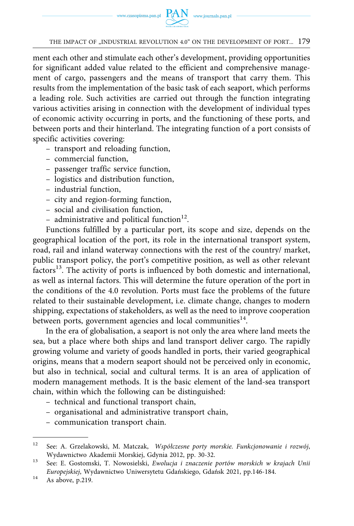

ment each other and stimulate each other's development, providing opportunities for significant added value related to the efficient and comprehensive management of cargo, passengers and the means of transport that carry them. This results from the implementation of the basic task of each seaport, which performs a leading role. Such activities are carried out through the function integrating various activities arising in connection with the development of individual types of economic activity occurring in ports, and the functioning of these ports, and between ports and their hinterland. The integrating function of a port consists of specific activities covering:

- transport and reloading function,
- commercial function,
- passenger traffic service function,
- logistics and distribution function,
- industrial function,
- city and region-forming function,
- social and civilisation function,
- administrative and political function<sup>12</sup>.

Functions fulfilled by a particular port, its scope and size, depends on the geographical location of the port, its role in the international transport system, road, rail and inland waterway connections with the rest of the country/ market, public transport policy, the port's competitive position, as well as other relevant factors<sup>13</sup>. The activity of ports is influenced by both domestic and international, as well as internal factors. This will determine the future operation of the port in the conditions of the 4.0 revolution. Ports must face the problems of the future related to their sustainable development, i.e. climate change, changes to modern shipping, expectations of stakeholders, as well as the need to improve cooperation between ports, government agencies and local communities $^{14}$ .

In the era of globalisation, a seaport is not only the area where land meets the sea, but a place where both ships and land transport deliver cargo. The rapidly growing volume and variety of goods handled in ports, their varied geographical origins, means that a modern seaport should not be perceived only in economic, but also in technical, social and cultural terms. It is an area of application of modern management methods. It is the basic element of the land-sea transport chain, within which the following can be distinguished:

- technical and functional transport chain,
- organisational and administrative transport chain,
- communication transport chain.

<sup>12</sup> See: A. Grzelakowski, M. Matczak, *Współczesne porty morskie. Funkcjonowanie i rozwój*, Wydawnictwo Akademii Morskiej, Gdynia 2012, pp. 30-32. 13 See: E. Gostomski, T. Nowosielski, *Ewolucja i znaczenie portów morskich w krajach Unii* 

*Europejskiej*, Wydawnictwo Uniwersytetu Gdańskiego, Gdańsk 2021, pp.146-184. 14 As above, p.219.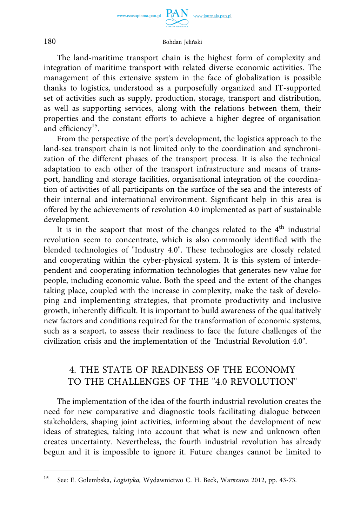

The land-maritime transport chain is the highest form of complexity and integration of maritime transport with related diverse economic activities. The management of this extensive system in the face of globalization is possible thanks to logistics, understood as a purposefully organized and IT-supported set of activities such as supply, production, storage, transport and distribution, as well as supporting services, along with the relations between them, their properties and the constant efforts to achieve a higher degree of organisation and efficiency<sup>15</sup>.

From the perspective of the port's development, the logistics approach to the land-sea transport chain is not limited only to the coordination and synchronization of the different phases of the transport process. It is also the technical adaptation to each other of the transport infrastructure and means of transport, handling and storage facilities, organisational integration of the coordination of activities of all participants on the surface of the sea and the interests of their internal and international environment. Significant help in this area is offered by the achievements of revolution 4.0 implemented as part of sustainable development.

It is in the seaport that most of the changes related to the  $4<sup>th</sup>$  industrial revolution seem to concentrate, which is also commonly identified with the blended technologies of "Industry 4.0". These technologies are closely related and cooperating within the cyber-physical system. It is this system of interdependent and cooperating information technologies that generates new value for people, including economic value. Both the speed and the extent of the changes taking place, coupled with the increase in complexity, make the task of developing and implementing strategies, that promote productivity and inclusive growth, inherently difficult. It is important to build awareness of the qualitatively new factors and conditions required for the transformation of economic systems, such as a seaport, to assess their readiness to face the future challenges of the civilization crisis and the implementation of the "Industrial Revolution 4.0".

# 4. THE STATE OF READINESS OF THE ECONOMY TO THE CHALLENGES OF THE "4.0 REVOLUTION"

The implementation of the idea of the fourth industrial revolution creates the need for new comparative and diagnostic tools facilitating dialogue between stakeholders, shaping joint activities, informing about the development of new ideas of strategies, taking into account that what is new and unknown often creates uncertainty. Nevertheless, the fourth industrial revolution has already begun and it is impossible to ignore it. Future changes cannot be limited to

<sup>15</sup> See: E. Gołembska, *Logistyka,* Wydawnictwo C. H. Beck, Warszawa 2012, pp. 43-73.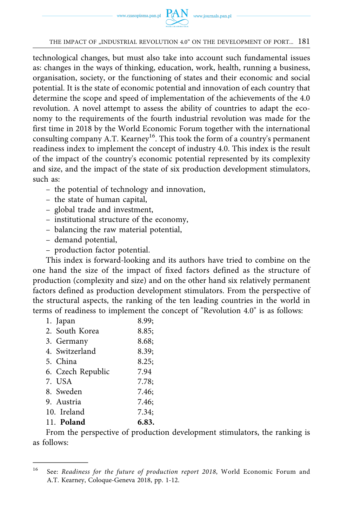

technological changes, but must also take into account such fundamental issues as: changes in the ways of thinking, education, work, health, running a business, organisation, society, or the functioning of states and their economic and social potential. It is the state of economic potential and innovation of each country that determine the scope and speed of implementation of the achievements of the 4.0 revolution. A novel attempt to assess the ability of countries to adapt the economy to the requirements of the fourth industrial revolution was made for the first time in 2018 by the World Economic Forum together with the international consulting company A.T. Kearney<sup>16</sup>. This took the form of a country's permanent readiness index to implement the concept of industry 4.0. This index is the result of the impact of the country's economic potential represented by its complexity and size, and the impact of the state of six production development stimulators, such as:

- the potential of technology and innovation,
- the state of human capital,
- global trade and investment,
- institutional structure of the economy,
- balancing the raw material potential,
- demand potential,
- production factor potential.

This index is forward-looking and its authors have tried to combine on the one hand the size of the impact of fixed factors defined as the structure of production (complexity and size) and on the other hand six relatively permanent factors defined as production development stimulators. From the perspective of the structural aspects, the ranking of the ten leading countries in the world in terms of readiness to implement the concept of "Revolution 4.0" is as follows:

| 2. South Korea<br>3. Germany | 8.85; |
|------------------------------|-------|
|                              |       |
|                              | 8.68; |
| 4. Switzerland               | 8.39; |
| 5. China                     | 8.25: |
| 6. Czech Republic<br>7.94    |       |
| 7. USA                       | 7.78: |
| 8. Sweden                    | 7.46; |
| 9. Austria                   | 7.46; |
| 10. Ireland<br>7.34:         |       |
| 11. Poland                   | 6.83. |

From the perspective of production development stimulators, the ranking is as follows:

<sup>16</sup> See: *Readiness for the future of production report 2018*, World Economic Forum and A.T. Kearney, Coloque-Geneva 2018, pp. 1-12.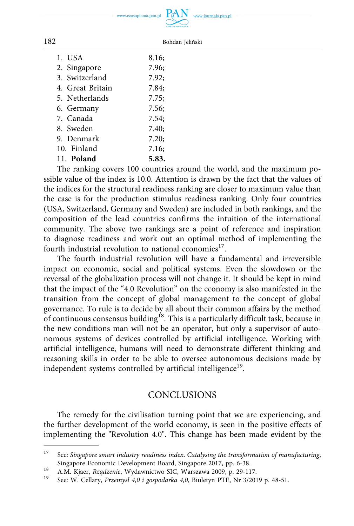$. PAN$ www.czasopisma

ww.journals.pan.pl

| .pan.pl |                      |  |
|---------|----------------------|--|
|         |                      |  |
|         | POUSKA AKADEMIA NAUK |  |
|         |                      |  |

Bohdan Jeliński

1. USA 8.16; 2. Singapore 7.96; 3. Switzerland 7.92; 4. Great Britain 7.84; 5. Netherlands 7.75; 6. Germany 7.56; 7. Canada 7.54; 8. Sweden 7.40; 9. Denmark 7.20; 10. Finland 7.16; 11. **Poland 5.83.** 

The ranking covers 100 countries around the world, and the maximum possible value of the index is 10.0. Attention is drawn by the fact that the values of the indices for the structural readiness ranking are closer to maximum value than the case is for the production stimulus readiness ranking. Only four countries (USA, Switzerland, Germany and Sweden) are included in both rankings, and the composition of the lead countries confirms the intuition of the international community. The above two rankings are a point of reference and inspiration to diagnose readiness and work out an optimal method of implementing the fourth industrial revolution to national economies<sup>17</sup>.

The fourth industrial revolution will have a fundamental and irreversible impact on economic, social and political systems. Even the slowdown or the reversal of the globalization process will not change it. It should be kept in mind that the impact of the "4.0 Revolution" on the economy is also manifested in the transition from the concept of global management to the concept of global governance. To rule is to decide by all about their common affairs by the method of continuous consensus building<sup>18</sup>. This is a particularly difficult task, because in the new conditions man will not be an operator, but only a supervisor of autonomous systems of devices controlled by artificial intelligence. Working with artificial intelligence, humans will need to demonstrate different thinking and reasoning skills in order to be able to oversee autonomous decisions made by independent systems controlled by artificial intelligence<sup>19</sup>.

### **CONCLUSIONS**

The remedy for the civilisation turning point that we are experiencing, and the further development of the world economy, is seen in the positive effects of implementing the "Revolution 4.0". This change has been made evident by the

| I<br>×<br>I |  |
|-------------|--|

<sup>17</sup> See: *Singapore smart industry readiness index*. *Catalysing the transformation of manufacturing*, Singapore Economic Development Board, Singapore 2017, pp. 6-38.<br>
A.M. Kjaer, Rządzenie, Wydawnictwo SIC, Warszawa 2009, p. 29-117.<br>
See: W. Cellary, *Przemysł 4,0 i gospodarka 4,0*, Biuletyn PTE, Nr 3/2019 p. 48-51.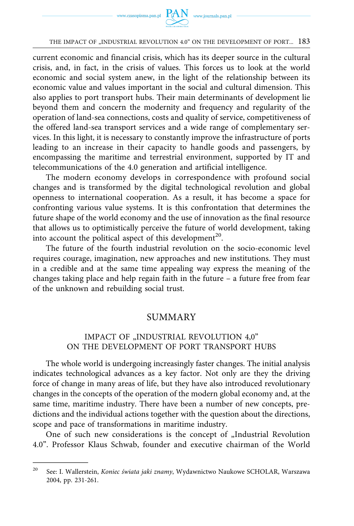

current economic and financial crisis, which has its deeper source in the cultural crisis, and, in fact, in the crisis of values. This forces us to look at the world economic and social system anew, in the light of the relationship between its economic value and values important in the social and cultural dimension. This also applies to port transport hubs. Their main determinants of development lie beyond them and concern the modernity and frequency and regularity of the operation of land-sea connections, costs and quality of service, competitiveness of the offered land-sea transport services and a wide range of complementary services. In this light, it is necessary to constantly improve the infrastructure of ports leading to an increase in their capacity to handle goods and passengers, by encompassing the maritime and terrestrial environment, supported by IT and telecommunications of the 4.0 generation and artificial intelligence.

The modern economy develops in correspondence with profound social changes and is transformed by the digital technological revolution and global openness to international cooperation. As a result, it has become a space for confronting various value systems. It is this confrontation that determines the future shape of the world economy and the use of innovation as the final resource that allows us to optimistically perceive the future of world development, taking into account the political aspect of this development<sup>20</sup>.

The future of the fourth industrial revolution on the socio-economic level requires courage, imagination, new approaches and new institutions. They must in a credible and at the same time appealing way express the meaning of the changes taking place and help regain faith in the future – a future free from fear of the unknown and rebuilding social trust.

#### SUMMARY

#### IMPACT OF "INDUSTRIAL REVOLUTION 4,0" ON THE DEVELOPMENT OF PORT TRANSPORT HUBS

The whole world is undergoing increasingly faster changes. The initial analysis indicates technological advances as a key factor. Not only are they the driving force of change in many areas of life, but they have also introduced revolutionary changes in the concepts of the operation of the modern global economy and, at the same time, maritime industry. There have been a number of new concepts, predictions and the individual actions together with the question about the directions, scope and pace of transformations in maritime industry.

One of such new considerations is the concept of "Industrial Revolution 4.0". Professor Klaus Schwab, founder and executive chairman of the World

<sup>20</sup> See: I. Wallerstein, *Koniec świata jaki znamy*, Wydawnictwo Naukowe SCHOLAR, Warszawa 2004, pp. 231-261.